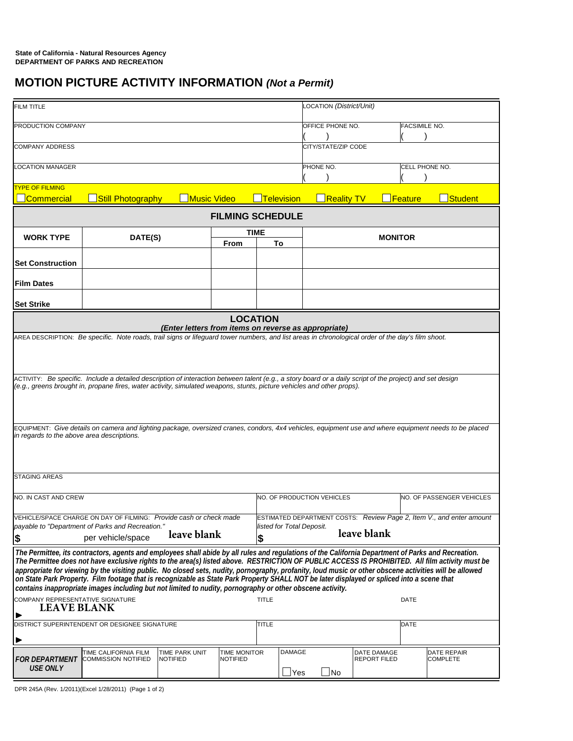## **MOTION PICTURE ACTIVITY INFORMATION** *(Not a Permit)*

| FILM TITLE                                                                                                                                                                                                                                              |                                                                                                                                                           |                      |                 |                   |                           | LOCATION (District/Unit)                 |                     |                |                                                                      |  |
|---------------------------------------------------------------------------------------------------------------------------------------------------------------------------------------------------------------------------------------------------------|-----------------------------------------------------------------------------------------------------------------------------------------------------------|----------------------|-----------------|-------------------|---------------------------|------------------------------------------|---------------------|----------------|----------------------------------------------------------------------|--|
| PRODUCTION COMPANY                                                                                                                                                                                                                                      |                                                                                                                                                           |                      |                 |                   |                           | OFFICE PHONE NO.<br><b>FACSIMILE NO.</b> |                     |                |                                                                      |  |
| COMPANY ADDRESS                                                                                                                                                                                                                                         |                                                                                                                                                           |                      |                 |                   |                           | CITY/STATE/ZIP CODE                      |                     |                |                                                                      |  |
| <b>OCATION MANAGER</b>                                                                                                                                                                                                                                  |                                                                                                                                                           |                      |                 |                   |                           | PHONE NO.                                |                     | CELL PHONE NO. |                                                                      |  |
| <b>TYPE OF FILMING</b>                                                                                                                                                                                                                                  |                                                                                                                                                           |                      |                 |                   |                           |                                          |                     |                |                                                                      |  |
| <b>Commercial</b>                                                                                                                                                                                                                                       | <b>Still Photography</b>                                                                                                                                  | <u> ∣Music Video</u> |                 | <b>Television</b> |                           | <b>Reality TV</b>                        |                     | Feature        | Student                                                              |  |
| <b>FILMING SCHEDULE</b>                                                                                                                                                                                                                                 |                                                                                                                                                           |                      |                 |                   |                           |                                          |                     |                |                                                                      |  |
| <b>WORK TYPE</b>                                                                                                                                                                                                                                        | DATE(S)                                                                                                                                                   |                      | <b>TIME</b>     |                   |                           | <b>MONITOR</b>                           |                     |                |                                                                      |  |
|                                                                                                                                                                                                                                                         |                                                                                                                                                           |                      | From            | To                |                           |                                          |                     |                |                                                                      |  |
| <b>Set Construction</b>                                                                                                                                                                                                                                 |                                                                                                                                                           |                      |                 |                   |                           |                                          |                     |                |                                                                      |  |
| <b>Film Dates</b>                                                                                                                                                                                                                                       |                                                                                                                                                           |                      |                 |                   |                           |                                          |                     |                |                                                                      |  |
| <b>Set Strike</b>                                                                                                                                                                                                                                       |                                                                                                                                                           |                      |                 |                   |                           |                                          |                     |                |                                                                      |  |
| <b>LOCATION</b><br>(Enter letters from items on reverse as appropriate)                                                                                                                                                                                 |                                                                                                                                                           |                      |                 |                   |                           |                                          |                     |                |                                                                      |  |
|                                                                                                                                                                                                                                                         |                                                                                                                                                           |                      |                 |                   |                           |                                          |                     |                |                                                                      |  |
| AREA DESCRIPTION: Be specific. Note roads, trail signs or lifeguard tower numbers, and list areas in chronological order of the day's film shoot.                                                                                                       |                                                                                                                                                           |                      |                 |                   |                           |                                          |                     |                |                                                                      |  |
|                                                                                                                                                                                                                                                         |                                                                                                                                                           |                      |                 |                   |                           |                                          |                     |                |                                                                      |  |
|                                                                                                                                                                                                                                                         | ACTIVITY: Be specific. Include a detailed description of interaction between talent (e.g., a story board or a daily script of the project) and set design |                      |                 |                   |                           |                                          |                     |                |                                                                      |  |
| (e.g., greens brought in, propane fires, water activity, simulated weapons, stunts, picture vehicles and other props).                                                                                                                                  |                                                                                                                                                           |                      |                 |                   |                           |                                          |                     |                |                                                                      |  |
|                                                                                                                                                                                                                                                         |                                                                                                                                                           |                      |                 |                   |                           |                                          |                     |                |                                                                      |  |
|                                                                                                                                                                                                                                                         |                                                                                                                                                           |                      |                 |                   |                           |                                          |                     |                |                                                                      |  |
| EQUIPMENT: Give details on camera and lighting package, oversized cranes, condors, 4x4 vehicles, equipment use and where equipment needs to be placed                                                                                                   |                                                                                                                                                           |                      |                 |                   |                           |                                          |                     |                |                                                                      |  |
| in regards to the above area descriptions.                                                                                                                                                                                                              |                                                                                                                                                           |                      |                 |                   |                           |                                          |                     |                |                                                                      |  |
|                                                                                                                                                                                                                                                         |                                                                                                                                                           |                      |                 |                   |                           |                                          |                     |                |                                                                      |  |
|                                                                                                                                                                                                                                                         |                                                                                                                                                           |                      |                 |                   |                           |                                          |                     |                |                                                                      |  |
| <b>STAGING AREAS</b>                                                                                                                                                                                                                                    |                                                                                                                                                           |                      |                 |                   |                           |                                          |                     |                |                                                                      |  |
| NO. IN CAST AND CREW                                                                                                                                                                                                                                    |                                                                                                                                                           |                      |                 |                   |                           | NO. OF PRODUCTION VEHICLES               |                     |                | NO. OF PASSENGER VEHICLES                                            |  |
|                                                                                                                                                                                                                                                         |                                                                                                                                                           |                      |                 |                   |                           |                                          |                     |                |                                                                      |  |
|                                                                                                                                                                                                                                                         | VEHICLE/SPACE CHARGE ON DAY OF FILMING: Provide cash or check made<br>payable to "Department of Parks and Recreation."                                    |                      |                 |                   | listed for Total Deposit. |                                          |                     |                | ESTIMATED DEPARTMENT COSTS: Review Page 2, Item V., and enter amount |  |
| 5                                                                                                                                                                                                                                                       | per vehicle/space                                                                                                                                         | leave blank          |                 | S                 |                           |                                          | leave blank         |                |                                                                      |  |
| The Permittee, its contractors, agents and employees shall abide by all rules and regulations of the California Department of Parks and Recreation.                                                                                                     |                                                                                                                                                           |                      |                 |                   |                           |                                          |                     |                |                                                                      |  |
|                                                                                                                                                                                                                                                         | The Permittee does not have exclusive rights to the area(s) listed above. RESTRICTION OF PUBLIC ACCESS IS PROHIBITED. All film activity must be           |                      |                 |                   |                           |                                          |                     |                |                                                                      |  |
| appropriate for viewing by the visiting public. No closed sets, nudity, pornography, profanity, loud music or other obscene activities will be allowed                                                                                                  |                                                                                                                                                           |                      |                 |                   |                           |                                          |                     |                |                                                                      |  |
| on State Park Property. Film footage that is recognizable as State Park Property SHALL NOT be later displayed or spliced into a scene that<br>contains inappropriate images including but not limited to nudity, pornography or other obscene activity. |                                                                                                                                                           |                      |                 |                   |                           |                                          |                     |                |                                                                      |  |
| COMPANY REPRESENTATIVE SIGNATURE<br><b>TITLE</b><br>DATE                                                                                                                                                                                                |                                                                                                                                                           |                      |                 |                   |                           |                                          |                     |                |                                                                      |  |
| <b>LEAVE BLANK</b>                                                                                                                                                                                                                                      |                                                                                                                                                           |                      |                 |                   |                           |                                          |                     |                |                                                                      |  |
| <b>TITLE</b><br>DISTRICT SUPERINTENDENT OR DESIGNEE SIGNATURE                                                                                                                                                                                           |                                                                                                                                                           |                      |                 |                   | <b>DATE</b>               |                                          |                     |                |                                                                      |  |
|                                                                                                                                                                                                                                                         |                                                                                                                                                           |                      |                 |                   |                           |                                          |                     |                |                                                                      |  |
|                                                                                                                                                                                                                                                         | TIME CALIFORNIA FILM                                                                                                                                      | TIME PARK UNIT       | TIME MONITOR    |                   | <b>DAMAGE</b>             |                                          | DATE DAMAGE         |                | DATE REPAIR                                                          |  |
| <i>FOR DEPARTMENT</i><br><b>USE ONLY</b>                                                                                                                                                                                                                | <b>COMMISSION NOTIFIED</b>                                                                                                                                | NOTIFIED             | <b>NOTIFIED</b> |                   |                           |                                          | <b>REPORT FILED</b> |                | <b>COMPLETE</b>                                                      |  |
|                                                                                                                                                                                                                                                         |                                                                                                                                                           |                      |                 |                   | $\Box$ Yes                | $\square$ No                             |                     |                |                                                                      |  |

DPR 245A (Rev. 1/2011)(Excel 1/28/2011) (Page 1 of 2)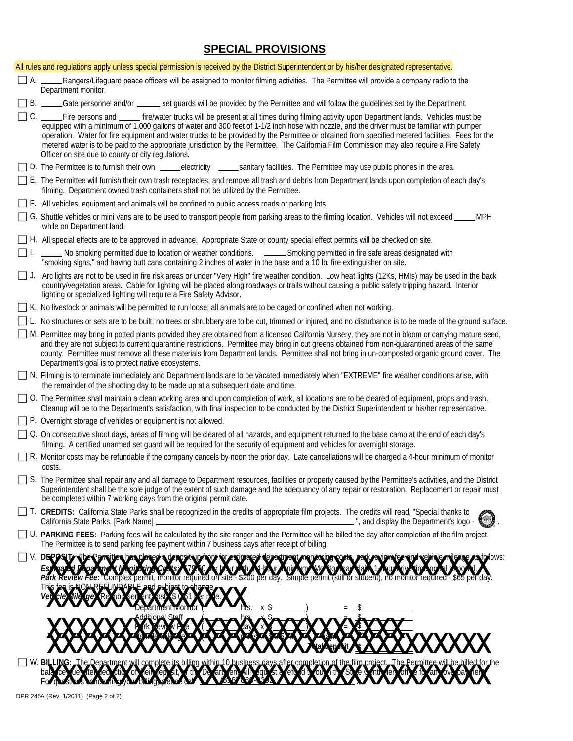## **SPECIAL PROVISIONS**

|           | All rules and regulations apply unless special permission is received by the District Superintendent or by his/her designated representative.                                                                                                                                                                                                                                                                                                                                                                                                                                                                                                 |
|-----------|-----------------------------------------------------------------------------------------------------------------------------------------------------------------------------------------------------------------------------------------------------------------------------------------------------------------------------------------------------------------------------------------------------------------------------------------------------------------------------------------------------------------------------------------------------------------------------------------------------------------------------------------------|
| A.        | Rangers/Lifeguard peace officers will be assigned to monitor filming activities. The Permittee will provide a company radio to the<br>Department monitor.                                                                                                                                                                                                                                                                                                                                                                                                                                                                                     |
|           | □ B. _____Gate personnel and/or _______ set guards will be provided by the Permittee and will follow the guidelines set by the Department.                                                                                                                                                                                                                                                                                                                                                                                                                                                                                                    |
| $\Box$ C. | Fire persons and ______ fire/water trucks will be present at all times during filming activity upon Department lands. Vehicles must be<br>equipped with a minimum of 1,000 gallons of water and 300 feet of 1-1/2 inch hose with nozzle, and the driver must be familiar with pumper<br>operation. Water for fire equipment and water trucks to be provided by the Permittee or obtained from specified metered facilities. Fees for the<br>metered water is to be paid to the appropriate jurisdiction by the Permittee. The California Film Commission may also require a Fire Safety<br>Officer on site due to county or city regulations. |
|           | □ D. The Permittee is to furnish their own <u>eectricity established in section</u> sanitary facilities. The Permittee may use public phones in the area.                                                                                                                                                                                                                                                                                                                                                                                                                                                                                     |
|           | □ E. The Permittee will furnish their own trash receptacles, and remove all trash and debris from Department lands upon completion of each day's<br>filming. Department owned trash containers shall not be utilized by the Permittee.                                                                                                                                                                                                                                                                                                                                                                                                        |
|           | $\Box$ F. All vehicles, equipment and animals will be confined to public access roads or parking lots.                                                                                                                                                                                                                                                                                                                                                                                                                                                                                                                                        |
|           | □ G. Shuttle vehicles or mini vans are to be used to transport people from parking areas to the filming location. Vehicles will not exceed<br>□<br>MPH<br>while on Department land.                                                                                                                                                                                                                                                                                                                                                                                                                                                           |
|           | □ H. All special effects are to be approved in advance. Appropriate State or county special effect permits will be checked on site.                                                                                                                                                                                                                                                                                                                                                                                                                                                                                                           |
| $\Box$    | No smoking permitted due to location or weather conditions. _______Smoking permitted in fire safe areas designated with<br>"smoking signs," and having butt cans containing 2 inches of water in the base and a 10 lb. fire extinguisher on site.                                                                                                                                                                                                                                                                                                                                                                                             |
| $\Box$ J. | Arc lights are not to be used in fire risk areas or under "Very High" fire weather condition. Low heat lights (12Ks, HMIs) may be used in the back<br>country/vegetation areas. Cable for lighting will be placed along roadways or trails without causing a public safety tripping hazard. Interior<br>lighting or specialized lighting will require a Fire Safety Advisor.                                                                                                                                                                                                                                                                  |
|           | □ K. No livestock or animals will be permitted to run loose; all animals are to be caged or confined when not working.                                                                                                                                                                                                                                                                                                                                                                                                                                                                                                                        |
|           | □ L. No structures or sets are to be built, no trees or shrubbery are to be cut, trimmed or injured, and no disturbance is to be made of the ground surface                                                                                                                                                                                                                                                                                                                                                                                                                                                                                   |
|           | M. Permittee may bring in potted plants provided they are obtained from a licensed California Nursery, they are not in bloom or carrying mature seed,<br>and they are not subject to current quarantine restrictions. Permittee may bring in cut greens obtained from non-quarantined areas of the same<br>county. Permittee must remove all these materials from Department lands. Permittee shall not bring in un-composted organic ground cover. The<br>Department's goal is to protect native ecosystems.                                                                                                                                 |
|           | □ N. Filming is to terminate immediately and Department lands are to be vacated immediately when "EXTREME" fire weather conditions arise, with<br>the remainder of the shooting day to be made up at a subsequent date and time.                                                                                                                                                                                                                                                                                                                                                                                                              |
|           | □ O. The Permittee shall maintain a clean working area and upon completion of work, all locations are to be cleared of equipment, props and trash.<br>Cleanup will be to the Department's satisfaction, with final inspection to be conducted by the District Superintendent or his/her representative.                                                                                                                                                                                                                                                                                                                                       |
|           | $\Box$ P. Overnight storage of vehicles or equipment is not allowed.                                                                                                                                                                                                                                                                                                                                                                                                                                                                                                                                                                          |
|           | □ Q. On consecutive shoot days, areas of filming will be cleared of all hazards, and equipment returned to the base camp at the end of each day's<br>filming. A certified unarmed set guard will be required for the security of equipment and vehicles for overnight storage.                                                                                                                                                                                                                                                                                                                                                                |
|           | R. Monitor costs may be refundable if the company cancels by noon the prior day. Late cancellations will be charged a 4-hour minimum of monitor<br>costs.                                                                                                                                                                                                                                                                                                                                                                                                                                                                                     |
|           | S. The Permittee shall repair any and all damage to Department resources, facilities or property caused by the Permittee's activities, and the District<br>Superintendent shall be the sole judge of the extent of such damage and the adequancy of any repair or restoration. Replacement or repair must<br>be completed within 7 working days from the original permit date.                                                                                                                                                                                                                                                                |
|           | T. CREDITS: California State Parks shall be recognized in the credits of appropriate film projects. The credits will read, "Special thanks to<br>", and display the Department's logo -<br>California State Parks, [Park Name]                                                                                                                                                                                                                                                                                                                                                                                                                |
|           | □ U. PARKING FEES: Parking fees will be calculated by the site ranger and the Permittee will be billed the day after completion of the film project.<br>The Permittee is to send parking fee payment within 7 business days after receipt of billing.                                                                                                                                                                                                                                                                                                                                                                                         |
|           | follows:<br>V. DEPOSITY be Partites, bespecale sterosis provinces in a la partie sterogical popularity sto<br>Complex permit, monitor required on site - \$200 per day. Simple permit (still or student), no monitor required - \$65 per day.                                                                                                                                                                                                                                                                                                                                                                                                 |
|           | oariment Monitor                                                                                                                                                                                                                                                                                                                                                                                                                                                                                                                                                                                                                              |
|           | W. BILLING: The Department will complete its billing within 10 husiness days after completion of the film project. The Permittee will be hilled for the ball complete its billing within 10 husiness days after completion of                                                                                                                                                                                                                                                                                                                                                                                                                 |